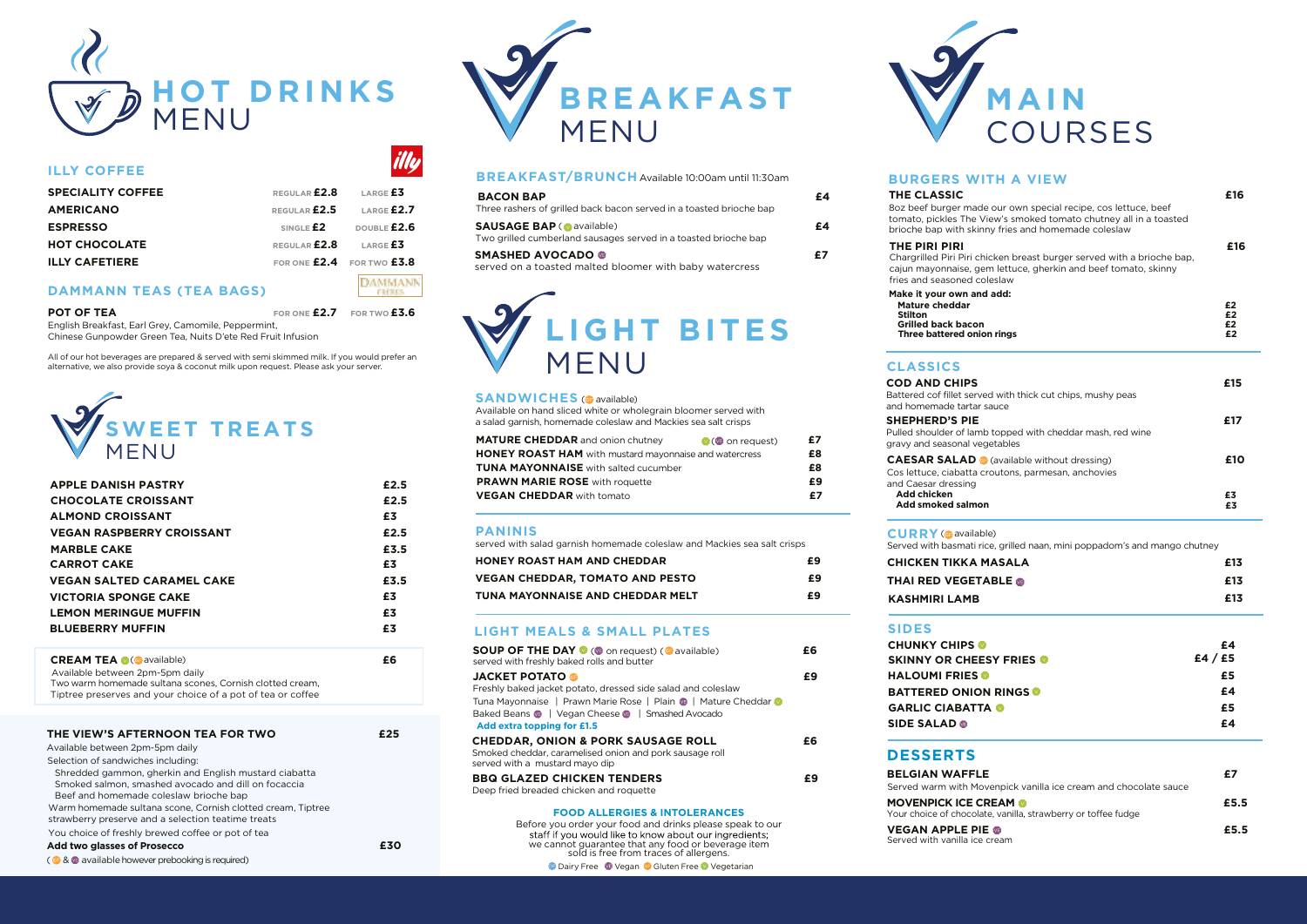

## **ILLY COFFEE**

| <b>SPECIALITY COFFEE</b> | REGULAR <b>£2.8</b> LARGE £3 |                 |
|--------------------------|------------------------------|-----------------|
| <b>AMERICANO</b>         | REGULAR <b>£2.5</b>          | LARGE $E2.7$    |
| <b>ESPRESSO</b>          | SINGLE $E2$                  | DOUBLE £2.6     |
| <b>HOT CHOCOLATE</b>     | REGULAR <b>£2.8</b>          | LARGE <b>£3</b> |
| <b>ILLY CAFETIERE</b>    | FOR ONE £2.4 FOR TWO £3.8    |                 |

## **DAMMANN TEAS (TEA BAGS)**

**POT OF TEA FOR ONE £2.7 FOR TWO £3.6**

**DAMMANN FREE** 

English Breakfast, Earl Grey, Camomile, Peppermint, Chinese Gunpowder Green Tea, Nuits D'ete Red Fruit Infusion

All of our hot beverages are prepared & served with semi skimmed milk. If you would prefer an alternative, we also provide soya & coconut milk upon request. Please ask your server.



| <b>APPLE DANISH PASTRY</b>       | £2.5 |
|----------------------------------|------|
| <b>CHOCOLATE CROISSANT</b>       | £2.5 |
| <b>ALMOND CROISSANT</b>          | £3   |
| <b>VEGAN RASPBERRY CROISSANT</b> | £2.5 |
| <b>MARBLE CAKE</b>               | £3.5 |
| <b>CARROT CAKE</b>               | £3   |
| <b>VEGAN SALTED CARAMEL CAKE</b> | £3.5 |
| <b>VICTORIA SPONGE CAKE</b>      | £3   |
| <b>LEMON MERINGUE MUFFIN</b>     | £3   |
| <b>BLUEBERRY MUFFIN</b>          | £3   |
|                                  |      |
| _ _ _ _ . _ .                    |      |

**CREAM TEA ( C** available) **E6** Two warm homemade sultana scones, Cornish clotted cream, Tiptree preserves and your choice of a pot of tea or coffee Available between 2pm-5pm daily

| THE VIEW'S AFTERNOON TEA FOR TWO                                                                                                                       |     |
|--------------------------------------------------------------------------------------------------------------------------------------------------------|-----|
| Available between 2pm-5pm daily                                                                                                                        |     |
| Selection of sandwiches including:                                                                                                                     |     |
| Shredded gammon, gherkin and English mustard ciabatta<br>Smoked salmon, smashed avocado and dill on focaccia<br>Beef and homemade coleslaw brioche bap |     |
| Warm homemade sultana scone, Cornish clotted cream, Tiptree<br>strawberry preserve and a selection teatime treats                                      |     |
| You choice of freshly brewed coffee or pot of tea                                                                                                      |     |
| Add two glasses of Prosecco                                                                                                                            | f30 |
| (6 & available however prebooking is required)                                                                                                         |     |



## **BREAKFAST/BRUNCH** Available 10:00am until 11:30am

| <b>BACON BAP</b><br>Three rashers of grilled back bacon served in a toasted brioche bap             | £4 |
|-----------------------------------------------------------------------------------------------------|----|
| <b>SAUSAGE BAP (O available)</b><br>Two grilled cumberland sausages served in a toasted brioche bap | £4 |
| <b>SMASHED AVOCADO ®</b><br>served on a toasted malted bloomer with baby watercress                 | £7 |

# **LIGHT BITES** MENU

#### **SANDWICHES** ( available )

Available on hand sliced white or wholegrain bloomer served with a salad garnish, homemade coleslaw and Mackies sea salt crisps

| <b>MATURE CHEDDAR</b> and onion chutney                       | $\bullet$ ( $\bullet$ on request) | £7 |
|---------------------------------------------------------------|-----------------------------------|----|
| <b>HONEY ROAST HAM</b> with mustard mayonnaise and watercress |                                   | £8 |
| <b>TUNA MAYONNAISE</b> with salted cucumber                   |                                   | £8 |
| <b>PRAWN MARIE ROSE</b> with roquette                         |                                   | £9 |
| <b>VEGAN CHEDDAR</b> with tomato                              |                                   | £7 |

#### **PANINIS**

served with salad garnish homemade coleslaw and Mackies sea salt crisps

| <b>HONEY ROAST HAM AND CHEDDAR</b>     | £9 |
|----------------------------------------|----|
| <b>VEGAN CHEDDAR, TOMATO AND PESTO</b> | £9 |
| TUNA MAYONNAISE AND CHEDDAR MELT       | £9 |

#### **LIGHT MEALS & SMALL PLATES**

| <b>SOUP OF THE DAY O (O on request) (O available)</b><br>served with freshly baked rolls and butter                                                 | £6 |
|-----------------------------------------------------------------------------------------------------------------------------------------------------|----|
| <b>JACKET POTATO @</b><br>Freshly baked jacket potato, dressed side salad and coleslaw                                                              | £9 |
| Tuna Mayonnaise   Prawn Marie Rose   Plain   Mature Cheddar  <br>Baked Beans (b)   Vegan Cheese (b)   Smashed Avocado<br>Add extra topping for £1.5 |    |
| <b>CHEDDAR, ONION &amp; PORK SAUSAGE ROLL</b><br>Smoked cheddar, caramelised onion and pork sausage roll<br>served with a mustard mayo dip          | £6 |
| <b>BBQ GLAZED CHICKEN TENDERS</b><br>Deep fried breaded chicken and roquette                                                                        | £9 |
| <b>FOOD ALLERGIES &amp; INTOLERANCES</b><br>Refere you erder your food and drinks please speak to our                                               |    |

**O Dairy Free Co Vegan G Gluten Free O Vegetarian** Before you order your food and drinks please speak to our we cannot guarantee that any food or beverage item sold is free from traces of allergens.



### **BURGERS WITH A VIEW**

| <b>THE CLASSIC</b><br>8oz beef burger made our own special recipe, cos lettuce, beef<br>tomato, pickles The View's smoked tomato chutney all in a toasted<br>brioche bap with skinny fries and homemade coleslaw | £16                  |
|------------------------------------------------------------------------------------------------------------------------------------------------------------------------------------------------------------------|----------------------|
| THE PIRI PIRI<br>Chargrilled Piri Piri chicken breast burger served with a brioche bap,<br>cajun mayonnaise, gem lettuce, gherkin and beef tomato, skinny<br>fries and seasoned coleslaw                         | £16                  |
| Make it your own and add:<br><b>Mature cheddar</b><br>Stilton<br><b>Grilled back bacon</b><br>Three battered onion rings                                                                                         | £2<br>£2<br>£2<br>£2 |
| <b>CLASSICS</b>                                                                                                                                                                                                  |                      |
| <b>COD AND CHIPS</b><br>Battered cof fillet served with thick cut chips, mushy peas<br>and homemade tartar sauce                                                                                                 | £15                  |
| <b>SHEPHERD'S PIE</b><br>Pulled shoulder of lamb topped with cheddar mash, red wine<br>gravy and seasonal vegetables                                                                                             | £17                  |
| <b>CAESAR SALAD</b> Cavailable without dressing)<br>Cos lettuce, ciabatta croutons, parmesan, anchovies<br>and Caesar dressing                                                                                   | £10                  |
| <b>Add chicken</b><br>Add smoked salmon                                                                                                                                                                          | £3<br>£3             |
| <b>CURRY</b> (@available)<br>Served with basmati rice, grilled naan, mini poppadom's and mango chutney                                                                                                           |                      |
| CHICKEN TIKKA MASALA                                                                                                                                                                                             | £13                  |
| THAI RED VEGETABLE @                                                                                                                                                                                             | £13                  |
| <b>KASHMIRI LAMB</b>                                                                                                                                                                                             | £13                  |
| <b>SIDES</b>                                                                                                                                                                                                     |                      |
| <b>CHUNKY CHIPS</b><br><b>SKINNY OR CHEESY FRIES @</b>                                                                                                                                                           | £4<br>£4 / £5        |
| <b>HALOUMI FRIES</b>                                                                                                                                                                                             | £5                   |
| <b>BATTERED ONION RINGS</b>                                                                                                                                                                                      | £4                   |
| <b>GARLIC CIABATTA O</b>                                                                                                                                                                                         | £5                   |
| <b>SIDE SALAD @</b>                                                                                                                                                                                              | £4                   |
| <b>DESSERTS</b>                                                                                                                                                                                                  |                      |
| <b>BELGIAN WAFFLE</b>                                                                                                                                                                                            | £7                   |
| Served warm with Movenpick vanilla ice cream and chocolate sauce                                                                                                                                                 |                      |
| <b>MOVENPICK ICE CREAM OF</b><br>Your choice of chocolate, vanilla, strawberry or toffee fudge                                                                                                                   | £5.5                 |
| <b>VEGAN APPLE PIE ®</b><br>Served with vanilla ice cream                                                                                                                                                        | £5.5                 |
|                                                                                                                                                                                                                  |                      |